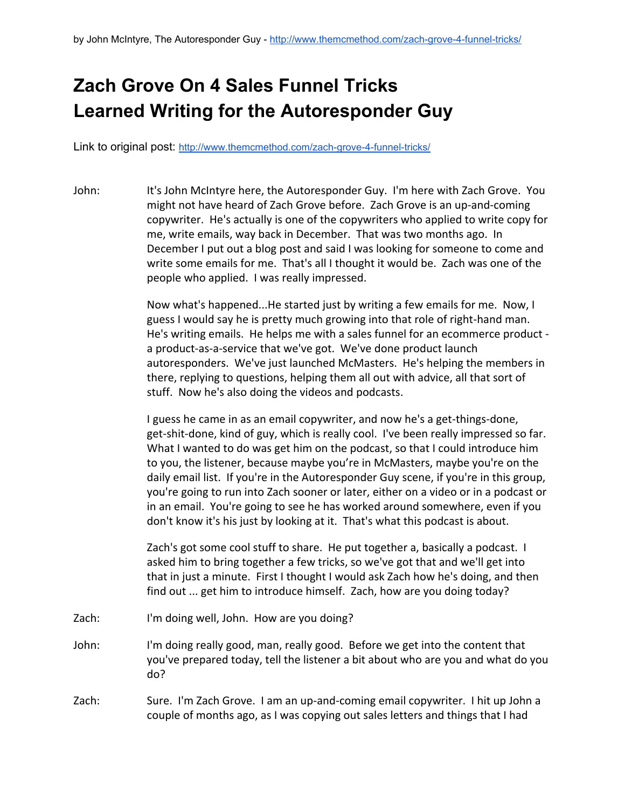## **Zach Grove On 4 Sales Funnel Tricks Learned Writing for the Autoresponder Guy**

Link to original post: http://www.themcmethod.com/zach-grove-4-funnel-tricks/

John: It's John McIntyre here, the Autoresponder Guy. I'm here with Zach Grove. You might not have heard of Zach Grove before. Zach Grove is an up-and-coming copywriter. He's actually is one of the copywriters who applied to write copy for me, write emails, way back in December. That was two months ago. In December I put out a blog post and said I was looking for someone to come and write some emails for me. That's all I thought it would be. Zach was one of the people who applied. I was really impressed.

> Now what's happened...He started just by writing a few emails for me. Now, I guess I would say he is pretty much growing into that role of right-hand man. He's writing emails. He helps me with a sales funnel for an ecommerce product a product-as-a-service that we've got. We've done product launch autoresponders. We've just launched McMasters. He's helping the members in there, replying to questions, helping them all out with advice, all that sort of stuff. Now he's also doing the videos and podcasts.

> I guess he came in as an email copywriter, and now he's a get-things-done, get-shit-done, kind of guy, which is really cool. I've been really impressed so far. What I wanted to do was get him on the podcast, so that I could introduce him to you, the listener, because maybe you're in McMasters, maybe you're on the daily email list. If you're in the Autoresponder Guy scene, if you're in this group, you're going to run into Zach sooner or later, either on a video or in a podcast or in an email. You're going to see he has worked around somewhere, even if you don't know it's his just by looking at it. That's what this podcast is about.

Zach's got some cool stuff to share. He put together a, basically a podcast. I asked him to bring together a few tricks, so we've got that and we'll get into that in just a minute. First I thought I would ask Zach how he's doing, and then find out ... get him to introduce himself. Zach, how are you doing today?

- Zach: I'm doing well, John. How are you doing?
- John: I'm doing really good, man, really good. Before we get into the content that you've prepared today, tell the listener a bit about who are you and what do you do?
- Zach: Sure. I'm Zach Grove. I am an up-and-coming email copywriter. I hit up John a couple of months ago, as I was copying out sales letters and things that I had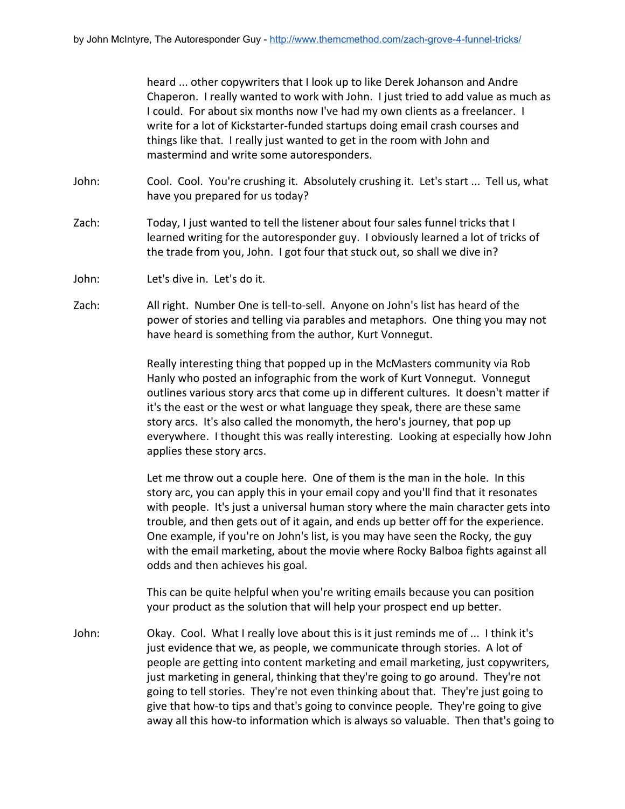heard ... other copywriters that I look up to like Derek Johanson and Andre Chaperon. I really wanted to work with John. I just tried to add value as much as I could. For about six months now I've had my own clients as a freelancer. I write for a lot of Kickstarter-funded startups doing email crash courses and things like that. I really just wanted to get in the room with John and mastermind and write some autoresponders.

- John: Cool. Cool. You're crushing it. Absolutely crushing it. Let's start ... Tell us, what have you prepared for us today?
- Zach: Today, I just wanted to tell the listener about four sales funnel tricks that I learned writing for the autoresponder guy. I obviously learned a lot of tricks of the trade from you, John. I got four that stuck out, so shall we dive in?
- John: Let's dive in. Let's do it.
- Zach: All right. Number One is tell-to-sell. Anyone on John's list has heard of the power of stories and telling via parables and metaphors. One thing you may not have heard is something from the author, Kurt Vonnegut.

Really interesting thing that popped up in the McMasters community via Rob Hanly who posted an infographic from the work of Kurt Vonnegut. Vonnegut outlines various story arcs that come up in different cultures. It doesn't matter if it's the east or the west or what language they speak, there are these same story arcs. It's also called the monomyth, the hero's journey, that pop up everywhere. I thought this was really interesting. Looking at especially how John applies these story arcs.

Let me throw out a couple here. One of them is the man in the hole. In this story arc, you can apply this in your email copy and you'll find that it resonates with people. It's just a universal human story where the main character gets into trouble, and then gets out of it again, and ends up better off for the experience. One example, if you're on John's list, is you may have seen the Rocky, the guy with the email marketing, about the movie where Rocky Balboa fights against all odds and then achieves his goal.

This can be quite helpful when you're writing emails because you can position your product as the solution that will help your prospect end up better.

John: Okay. Cool. What I really love about this is it just reminds me of ... I think it's just evidence that we, as people, we communicate through stories. A lot of people are getting into content marketing and email marketing, just copywriters, just marketing in general, thinking that they're going to go around. They're not going to tell stories. They're not even thinking about that. They're just going to give that how-to tips and that's going to convince people. They're going to give away all this how-to information which is always so valuable. Then that's going to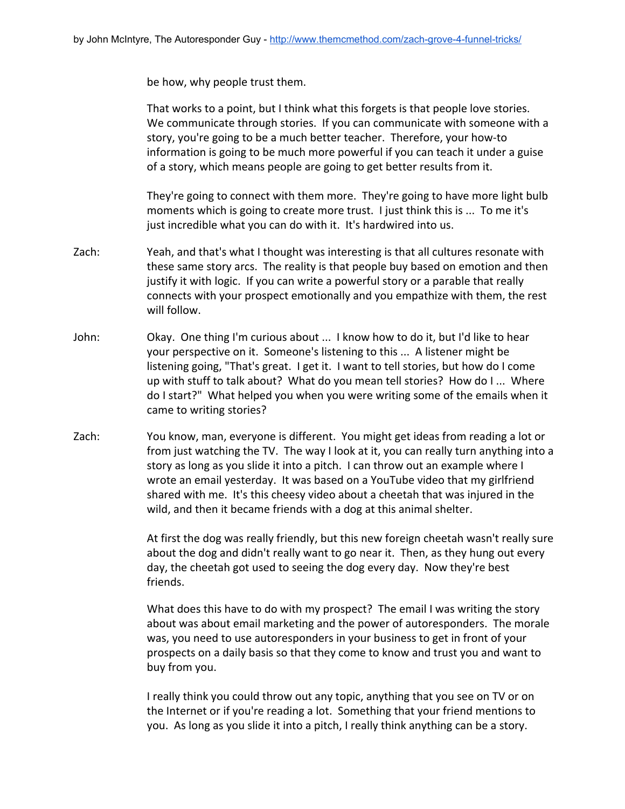be how, why people trust them.

That works to a point, but I think what this forgets is that people love stories. We communicate through stories. If you can communicate with someone with a story, you're going to be a much better teacher. Therefore, your how-to information is going to be much more powerful if you can teach it under a guise of a story, which means people are going to get better results from it.

They're going to connect with them more. They're going to have more light bulb moments which is going to create more trust. I just think this is ... To me it's just incredible what you can do with it. It's hardwired into us.

- Zach: Yeah, and that's what I thought was interesting is that all cultures resonate with these same story arcs. The reality is that people buy based on emotion and then justify it with logic. If you can write a powerful story or a parable that really connects with your prospect emotionally and you empathize with them, the rest will follow.
- John: Okay. One thing I'm curious about ... I know how to do it, but I'd like to hear your perspective on it. Someone's listening to this ... A listener might be listening going, "That's great. I get it. I want to tell stories, but how do I come up with stuff to talk about? What do you mean tell stories? How do I ... Where do I start?" What helped you when you were writing some of the emails when it came to writing stories?
- Zach: You know, man, everyone is different. You might get ideas from reading a lot or from just watching the TV. The way I look at it, you can really turn anything into a story as long as you slide it into a pitch. I can throw out an example where I wrote an email yesterday. It was based on a YouTube video that my girlfriend shared with me. It's this cheesy video about a cheetah that was injured in the wild, and then it became friends with a dog at this animal shelter.

At first the dog was really friendly, but this new foreign cheetah wasn't really sure about the dog and didn't really want to go near it. Then, as they hung out every day, the cheetah got used to seeing the dog every day. Now they're best friends.

What does this have to do with my prospect? The email I was writing the story about was about email marketing and the power of autoresponders. The morale was, you need to use autoresponders in your business to get in front of your prospects on a daily basis so that they come to know and trust you and want to buy from you.

I really think you could throw out any topic, anything that you see on TV or on the Internet or if you're reading a lot. Something that your friend mentions to you. As long as you slide it into a pitch, I really think anything can be a story.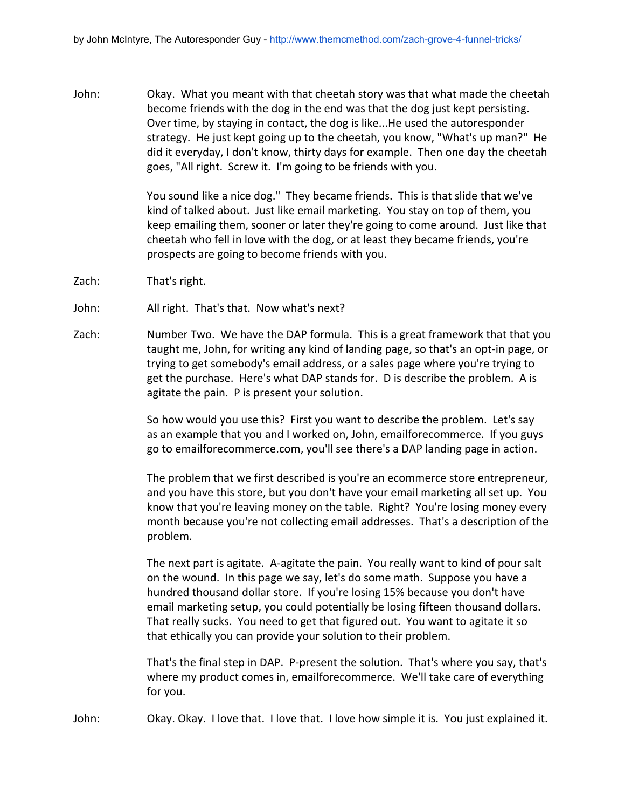John: Okay. What you meant with that cheetah story was that what made the cheetah become friends with the dog in the end was that the dog just kept persisting. Over time, by staying in contact, the dog is like...He used the autoresponder strategy. He just kept going up to the cheetah, you know, "What's up man?" He did it everyday, I don't know, thirty days for example. Then one day the cheetah goes, "All right. Screw it. I'm going to be friends with you.

> You sound like a nice dog." They became friends. This is that slide that we've kind of talked about. Just like email marketing. You stay on top of them, you keep emailing them, sooner or later they're going to come around. Just like that cheetah who fell in love with the dog, or at least they became friends, you're prospects are going to become friends with you.

- Zach: That's right.
- John: All right. That's that. Now what's next?
- Zach: Number Two. We have the DAP formula. This is a great framework that that you taught me, John, for writing any kind of landing page, so that's an opt-in page, or trying to get somebody's email address, or a sales page where you're trying to get the purchase. Here's what DAP stands for. D is describe the problem. A is agitate the pain. P is present your solution.

So how would you use this? First you want to describe the problem. Let's say as an example that you and I worked on, John, emailforecommerce. If you guys go to emailforecommerce.com, you'll see there's a DAP landing page in action.

The problem that we first described is you're an ecommerce store entrepreneur, and you have this store, but you don't have your email marketing all set up. You know that you're leaving money on the table. Right? You're losing money every month because you're not collecting email addresses. That's a description of the problem.

The next part is agitate. A-agitate the pain. You really want to kind of pour salt on the wound. In this page we say, let's do some math. Suppose you have a hundred thousand dollar store. If you're losing 15% because you don't have email marketing setup, you could potentially be losing fifteen thousand dollars. That really sucks. You need to get that figured out. You want to agitate it so that ethically you can provide your solution to their problem.

That's the final step in DAP. P-present the solution. That's where you say, that's where my product comes in, emailforecommerce. We'll take care of everything for you.

John: Okay. Okay. I love that. I love that. I love how simple it is. You just explained it.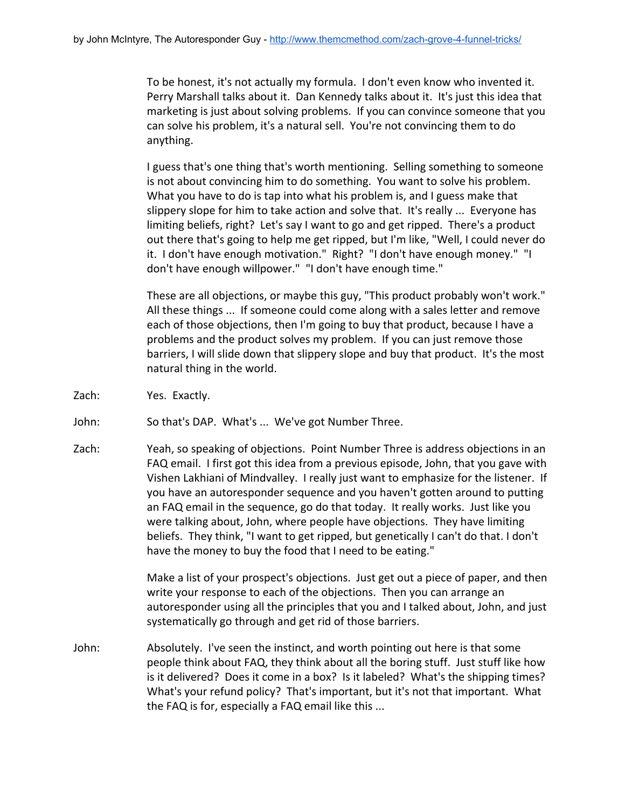To be honest, it's not actually my formula. I don't even know who invented it. Perry Marshall talks about it. Dan Kennedy talks about it. It's just this idea that marketing is just about solving problems. If you can convince someone that you can solve his problem, it's a natural sell. You're not convincing them to do anything.

I guess that's one thing that's worth mentioning. Selling something to someone is not about convincing him to do something. You want to solve his problem. What you have to do is tap into what his problem is, and I guess make that slippery slope for him to take action and solve that. It's really ... Everyone has limiting beliefs, right? Let's say I want to go and get ripped. There's a product out there that's going to help me get ripped, but I'm like, "Well, I could never do it. I don't have enough motivation." Right? "I don't have enough money." "I don't have enough willpower." "I don't have enough time."

These are all objections, or maybe this guy, "This product probably won't work." All these things ... If someone could come along with a sales letter and remove each of those objections, then I'm going to buy that product, because I have a problems and the product solves my problem. If you can just remove those barriers, I will slide down that slippery slope and buy that product. It's the most natural thing in the world.

- Zach: Yes. Exactly.
- John: So that's DAP. What's ... We've got Number Three.
- Zach: Yeah, so speaking of objections. Point Number Three is address objections in an FAQ email. I first got this idea from a previous episode, John, that you gave with Vishen Lakhiani of Mindvalley. I really just want to emphasize for the listener. If you have an autoresponder sequence and you haven't gotten around to putting an FAQ email in the sequence, go do that today. It really works. Just like you were talking about, John, where people have objections. They have limiting beliefs. They think, "I want to get ripped, but genetically I can't do that. I don't have the money to buy the food that I need to be eating."

Make a list of your prospect's objections. Just get out a piece of paper, and then write your response to each of the objections. Then you can arrange an autoresponder using all the principles that you and I talked about, John, and just systematically go through and get rid of those barriers.

John: Absolutely. I've seen the instinct, and worth pointing out here is that some people think about FAQ, they think about all the boring stuff. Just stuff like how is it delivered? Does it come in a box? Is it labeled? What's the shipping times? What's your refund policy? That's important, but it's not that important. What the FAQ is for, especially a FAQ email like this ...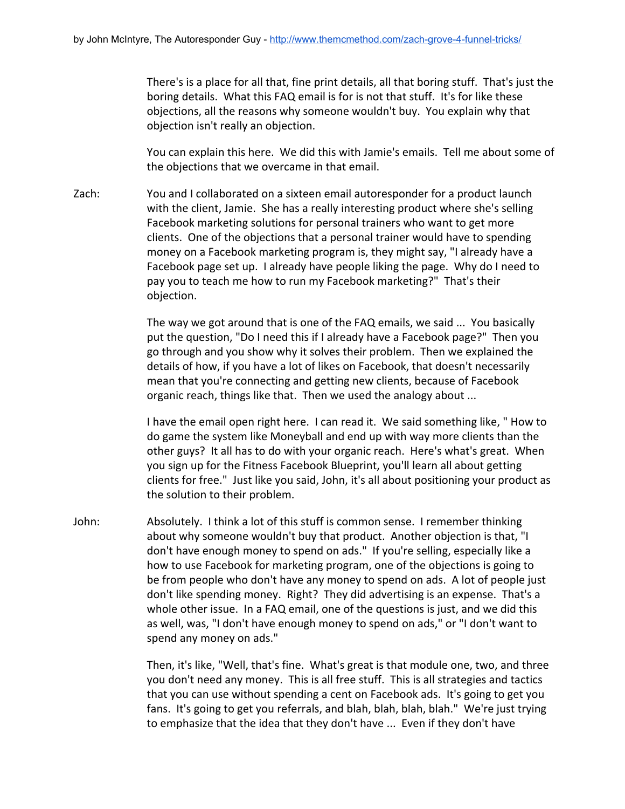There's is a place for all that, fine print details, all that boring stuff. That's just the boring details. What this FAQ email is for is not that stuff. It's for like these objections, all the reasons why someone wouldn't buy. You explain why that objection isn't really an objection.

You can explain this here. We did this with Jamie's emails. Tell me about some of the objections that we overcame in that email.

Zach: You and I collaborated on a sixteen email autoresponder for a product launch with the client, Jamie. She has a really interesting product where she's selling Facebook marketing solutions for personal trainers who want to get more clients. One of the objections that a personal trainer would have to spending money on a Facebook marketing program is, they might say, "I already have a Facebook page set up. I already have people liking the page. Why do I need to pay you to teach me how to run my Facebook marketing?" That's their objection.

> The way we got around that is one of the FAQ emails, we said ... You basically put the question, "Do I need this if I already have a Facebook page?" Then you go through and you show why it solves their problem. Then we explained the details of how, if you have a lot of likes on Facebook, that doesn't necessarily mean that you're connecting and getting new clients, because of Facebook organic reach, things like that. Then we used the analogy about ...

I have the email open right here. I can read it. We said something like, " How to do game the system like Moneyball and end up with way more clients than the other guys? It all has to do with your organic reach. Here's what's great. When you sign up for the Fitness Facebook Blueprint, you'll learn all about getting clients for free." Just like you said, John, it's all about positioning your product as the solution to their problem.

John: Absolutely. I think a lot of this stuff is common sense. I remember thinking about why someone wouldn't buy that product. Another objection is that, "I don't have enough money to spend on ads." If you're selling, especially like a how to use Facebook for marketing program, one of the objections is going to be from people who don't have any money to spend on ads. A lot of people just don't like spending money. Right? They did advertising is an expense. That's a whole other issue. In a FAQ email, one of the questions is just, and we did this as well, was, "I don't have enough money to spend on ads," or "I don't want to spend any money on ads."

> Then, it's like, "Well, that's fine. What's great is that module one, two, and three you don't need any money. This is all free stuff. This is all strategies and tactics that you can use without spending a cent on Facebook ads. It's going to get you fans. It's going to get you referrals, and blah, blah, blah, blah." We're just trying to emphasize that the idea that they don't have ... Even if they don't have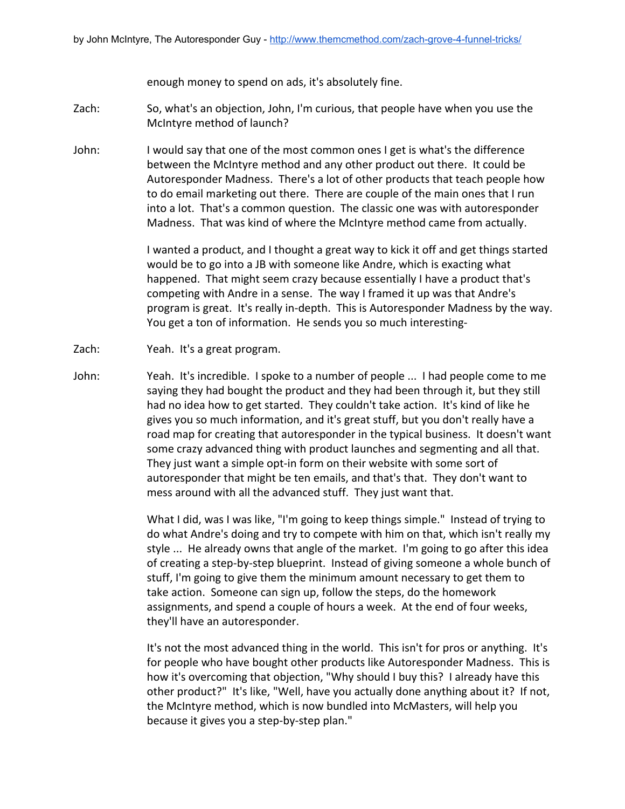enough money to spend on ads, it's absolutely fine.

- Zach: So, what's an objection, John, I'm curious, that people have when you use the McIntyre method of launch?
- John: I would say that one of the most common ones I get is what's the difference between the McIntyre method and any other product out there. It could be Autoresponder Madness. There's a lot of other products that teach people how to do email marketing out there. There are couple of the main ones that I run into a lot. That's a common question. The classic one was with autoresponder Madness. That was kind of where the McIntyre method came from actually.

I wanted a product, and I thought a great way to kick it off and get things started would be to go into a JB with someone like Andre, which is exacting what happened. That might seem crazy because essentially I have a product that's competing with Andre in a sense. The way I framed it up was that Andre's program is great. It's really in-depth. This is Autoresponder Madness by the way. You get a ton of information. He sends you so much interesting-

- Zach: Yeah. It's a great program.
- John: Yeah. It's incredible. I spoke to a number of people ... I had people come to me saying they had bought the product and they had been through it, but they still had no idea how to get started. They couldn't take action. It's kind of like he gives you so much information, and it's great stuff, but you don't really have a road map for creating that autoresponder in the typical business. It doesn't want some crazy advanced thing with product launches and segmenting and all that. They just want a simple opt-in form on their website with some sort of autoresponder that might be ten emails, and that's that. They don't want to mess around with all the advanced stuff. They just want that.

What I did, was I was like, "I'm going to keep things simple." Instead of trying to do what Andre's doing and try to compete with him on that, which isn't really my style ... He already owns that angle of the market. I'm going to go after this idea of creating a step-by-step blueprint. Instead of giving someone a whole bunch of stuff, I'm going to give them the minimum amount necessary to get them to take action. Someone can sign up, follow the steps, do the homework assignments, and spend a couple of hours a week. At the end of four weeks, they'll have an autoresponder.

It's not the most advanced thing in the world. This isn't for pros or anything. It's for people who have bought other products like Autoresponder Madness. This is how it's overcoming that objection, "Why should I buy this? I already have this other product?" It's like, "Well, have you actually done anything about it? If not, the McIntyre method, which is now bundled into McMasters, will help you because it gives you a step-by-step plan."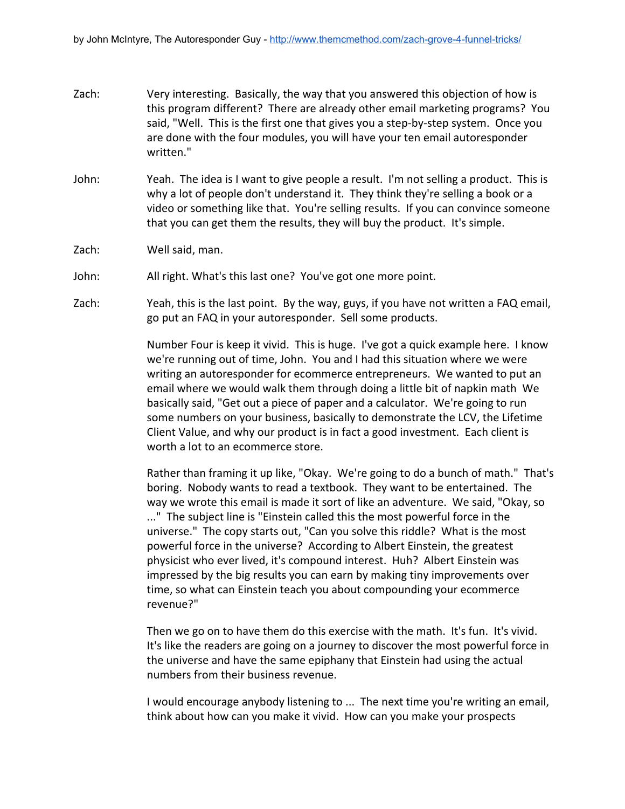- Zach: Very interesting. Basically, the way that you answered this objection of how is this program different? There are already other email marketing programs? You said, "Well. This is the first one that gives you a step-by-step system. Once you are done with the four modules, you will have your ten email autoresponder written."
- John: Yeah. The idea is I want to give people a result. I'm not selling a product. This is why a lot of people don't understand it. They think they're selling a book or a video or something like that. You're selling results. If you can convince someone that you can get them the results, they will buy the product. It's simple.
- Zach: Well said, man.
- John: All right. What's this last one? You've got one more point.
- Zach: Yeah, this is the last point. By the way, guys, if you have not written a FAQ email, go put an FAQ in your autoresponder. Sell some products.

Number Four is keep it vivid. This is huge. I've got a quick example here. I know we're running out of time, John. You and I had this situation where we were writing an autoresponder for ecommerce entrepreneurs. We wanted to put an email where we would walk them through doing a little bit of napkin math We basically said, "Get out a piece of paper and a calculator. We're going to run some numbers on your business, basically to demonstrate the LCV, the Lifetime Client Value, and why our product is in fact a good investment. Each client is worth a lot to an ecommerce store.

Rather than framing it up like, "Okay. We're going to do a bunch of math." That's boring. Nobody wants to read a textbook. They want to be entertained. The way we wrote this email is made it sort of like an adventure. We said, "Okay, so ..." The subject line is "Einstein called this the most powerful force in the universe." The copy starts out, "Can you solve this riddle? What is the most powerful force in the universe? According to Albert Einstein, the greatest physicist who ever lived, it's compound interest. Huh? Albert Einstein was impressed by the big results you can earn by making tiny improvements over time, so what can Einstein teach you about compounding your ecommerce revenue?"

Then we go on to have them do this exercise with the math. It's fun. It's vivid. It's like the readers are going on a journey to discover the most powerful force in the universe and have the same epiphany that Einstein had using the actual numbers from their business revenue.

I would encourage anybody listening to ... The next time you're writing an email, think about how can you make it vivid. How can you make your prospects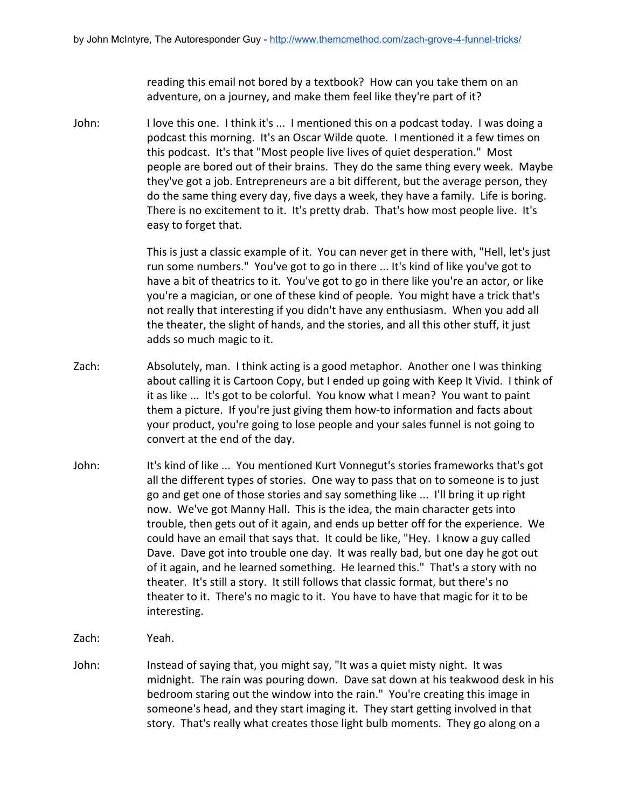reading this email not bored by a textbook? How can you take them on an adventure, on a journey, and make them feel like they're part of it?

John: I love this one. I think it's ... I mentioned this on a podcast today. I was doing a podcast this morning. It's an Oscar Wilde quote. I mentioned it a few times on this podcast. It's that "Most people live lives of quiet desperation." Most people are bored out of their brains. They do the same thing every week. Maybe they've got a job. Entrepreneurs are a bit different, but the average person, they do the same thing every day, five days a week, they have a family. Life is boring. There is no excitement to it. It's pretty drab. That's how most people live. It's easy to forget that.

> This is just a classic example of it. You can never get in there with, "Hell, let's just run some numbers." You've got to go in there ... It's kind of like you've got to have a bit of theatrics to it. You've got to go in there like you're an actor, or like you're a magician, or one of these kind of people. You might have a trick that's not really that interesting if you didn't have any enthusiasm. When you add all the theater, the slight of hands, and the stories, and all this other stuff, it just adds so much magic to it.

- Zach: Absolutely, man. I think acting is a good metaphor. Another one I was thinking about calling it is Cartoon Copy, but I ended up going with Keep It Vivid. I think of it as like ... It's got to be colorful. You know what I mean? You want to paint them a picture. If you're just giving them how-to information and facts about your product, you're going to lose people and your sales funnel is not going to convert at the end of the day.
- John: It's kind of like ... You mentioned Kurt Vonnegut's stories frameworks that's got all the different types of stories. One way to pass that on to someone is to just go and get one of those stories and say something like ... I'll bring it up right now. We've got Manny Hall. This is the idea, the main character gets into trouble, then gets out of it again, and ends up better off for the experience. We could have an email that says that. It could be like, "Hey. I know a guy called Dave. Dave got into trouble one day. It was really bad, but one day he got out of it again, and he learned something. He learned this." That's a story with no theater. It's still a story. It still follows that classic format, but there's no theater to it. There's no magic to it. You have to have that magic for it to be interesting.
- Zach: Yeah.
- John: Instead of saying that, you might say, "It was a quiet misty night. It was midnight. The rain was pouring down. Dave sat down at his teakwood desk in his bedroom staring out the window into the rain." You're creating this image in someone's head, and they start imaging it. They start getting involved in that story. That's really what creates those light bulb moments. They go along on a